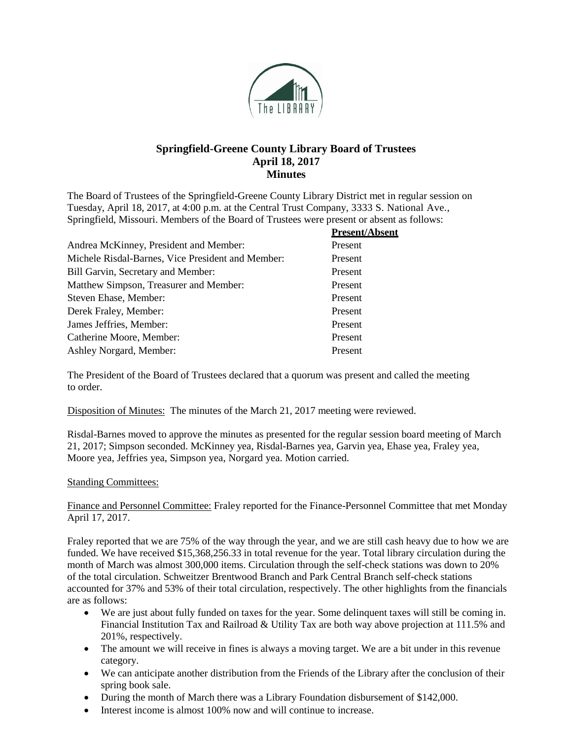

# **Springfield-Greene County Library Board of Trustees April 18, 2017 Minutes**

The Board of Trustees of the Springfield-Greene County Library District met in regular session on Tuesday, April 18, 2017, at 4:00 p.m. at the Central Trust Company, 3333 S. National Ave., Springfield, Missouri. Members of the Board of Trustees were present or absent as follows:

| <b>Present/Absent</b> |
|-----------------------|
| Present               |
| Present               |
| Present               |
| Present               |
| Present               |
| Present               |
| Present               |
| Present               |
| Present               |
|                       |

The President of the Board of Trustees declared that a quorum was present and called the meeting to order.

Disposition of Minutes: The minutes of the March 21, 2017 meeting were reviewed.

Risdal-Barnes moved to approve the minutes as presented for the regular session board meeting of March 21, 2017; Simpson seconded. McKinney yea, Risdal-Barnes yea, Garvin yea, Ehase yea, Fraley yea, Moore yea, Jeffries yea, Simpson yea, Norgard yea. Motion carried.

## Standing Committees:

Finance and Personnel Committee: Fraley reported for the Finance-Personnel Committee that met Monday April 17, 2017.

Fraley reported that we are 75% of the way through the year, and we are still cash heavy due to how we are funded. We have received \$15,368,256.33 in total revenue for the year. Total library circulation during the month of March was almost 300,000 items. Circulation through the self-check stations was down to 20% of the total circulation. Schweitzer Brentwood Branch and Park Central Branch self-check stations accounted for 37% and 53% of their total circulation, respectively. The other highlights from the financials are as follows:

- We are just about fully funded on taxes for the year. Some delinquent taxes will still be coming in. Financial Institution Tax and Railroad & Utility Tax are both way above projection at 111.5% and 201%, respectively.
- The amount we will receive in fines is always a moving target. We are a bit under in this revenue category.
- We can anticipate another distribution from the Friends of the Library after the conclusion of their spring book sale.
- During the month of March there was a Library Foundation disbursement of \$142,000.
- Interest income is almost 100% now and will continue to increase.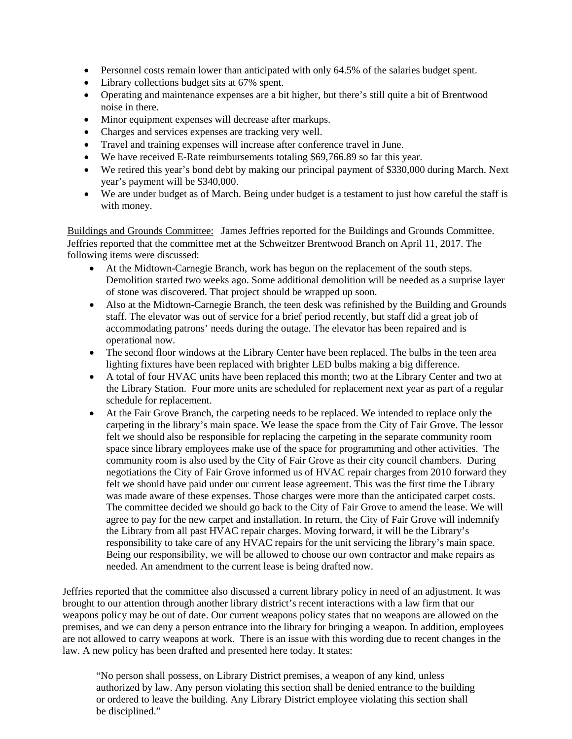- Personnel costs remain lower than anticipated with only 64.5% of the salaries budget spent.
- Library collections budget sits at 67% spent.
- Operating and maintenance expenses are a bit higher, but there's still quite a bit of Brentwood noise in there.
- Minor equipment expenses will decrease after markups.
- Charges and services expenses are tracking very well.
- Travel and training expenses will increase after conference travel in June.
- We have received E-Rate reimbursements totaling \$69,766.89 so far this year.
- We retired this year's bond debt by making our principal payment of \$330,000 during March. Next year's payment will be \$340,000.
- We are under budget as of March. Being under budget is a testament to just how careful the staff is with money.

Buildings and Grounds Committee: James Jeffries reported for the Buildings and Grounds Committee. Jeffries reported that the committee met at the Schweitzer Brentwood Branch on April 11, 2017. The following items were discussed:

- At the Midtown-Carnegie Branch, work has begun on the replacement of the south steps. Demolition started two weeks ago. Some additional demolition will be needed as a surprise layer of stone was discovered. That project should be wrapped up soon.
- Also at the Midtown-Carnegie Branch, the teen desk was refinished by the Building and Grounds staff. The elevator was out of service for a brief period recently, but staff did a great job of accommodating patrons' needs during the outage. The elevator has been repaired and is operational now.
- The second floor windows at the Library Center have been replaced. The bulbs in the teen area lighting fixtures have been replaced with brighter LED bulbs making a big difference.
- A total of four HVAC units have been replaced this month; two at the Library Center and two at the Library Station. Four more units are scheduled for replacement next year as part of a regular schedule for replacement.
- At the Fair Grove Branch, the carpeting needs to be replaced. We intended to replace only the carpeting in the library's main space. We lease the space from the City of Fair Grove. The lessor felt we should also be responsible for replacing the carpeting in the separate community room space since library employees make use of the space for programming and other activities. The community room is also used by the City of Fair Grove as their city council chambers. During negotiations the City of Fair Grove informed us of HVAC repair charges from 2010 forward they felt we should have paid under our current lease agreement. This was the first time the Library was made aware of these expenses. Those charges were more than the anticipated carpet costs. The committee decided we should go back to the City of Fair Grove to amend the lease. We will agree to pay for the new carpet and installation. In return, the City of Fair Grove will indemnify the Library from all past HVAC repair charges. Moving forward, it will be the Library's responsibility to take care of any HVAC repairs for the unit servicing the library's main space. Being our responsibility, we will be allowed to choose our own contractor and make repairs as needed. An amendment to the current lease is being drafted now.

Jeffries reported that the committee also discussed a current library policy in need of an adjustment. It was brought to our attention through another library district's recent interactions with a law firm that our weapons policy may be out of date. Our current weapons policy states that no weapons are allowed on the premises, and we can deny a person entrance into the library for bringing a weapon. In addition, employees are not allowed to carry weapons at work. There is an issue with this wording due to recent changes in the law. A new policy has been drafted and presented here today. It states:

"No person shall possess, on Library District premises, a weapon of any kind, unless authorized by law. Any person violating this section shall be denied entrance to the building or ordered to leave the building. Any Library District employee violating this section shall be disciplined."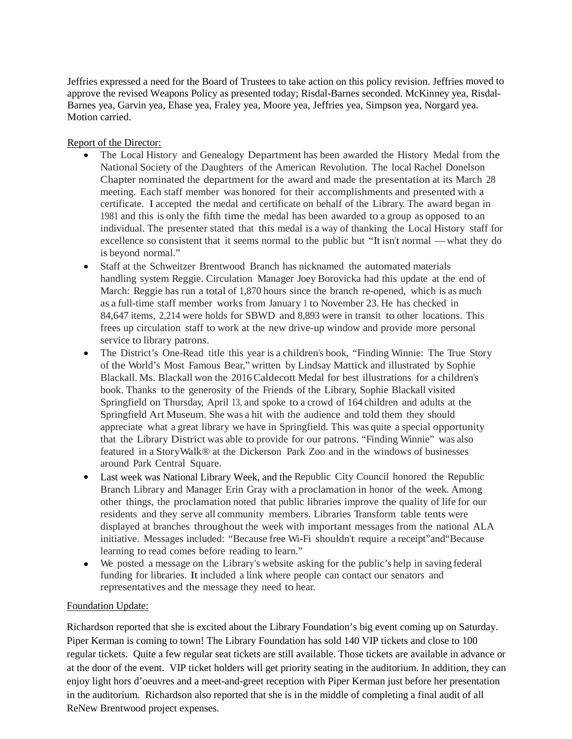Jeffries expressed a need for the Board of Trustees to take action on this policy revision. Jeffries moved to approve the revised Weapons Policy as presented today; Risdal-Barnes seconded. McKinney yea, Risdal-Barnes yea, Garvin yea, Ehase yea, Fraley yea, Moore yea, Jeffries yea, Simpson yea, Norgard yea. Motion carried.

### Report of the Director:

- The Local History and Genealogy Department has been awarded the History Medal from the National Society of the Daughters of the American Revolution. The local Rachel Donelson Chapter nominated the department for the award and made the presentation at its March 28 meeting. Each staff member was honored for their accomplishments and presented with a certificate. I accepted the medal and certificate on behalf of the Library. The award began in 1981 and this is only the fifth time the medal has been awarded to a group as opposed to an individual. The presenter stated that this medal is a way of thanking the Local History staff for excellence so consistent that it seems normal to the public but "It isn't normal — what they do is beyond normal."
- Staff at the Schweitzer Brentwood Branch has nicknamed the automated materials handling system Reggie. Circulation Manager Joey Borovicka had this update at the end of March: Reggie has run a total of 1,870 hours since the branch re-opened, which is as much as a full-time staff member works from January <sup>1</sup> to November 23. He has checked in 84,647 items, 2,214 were holds for SBWD and 8,893 were in transit to other locations. This frees up circulation staff to work at the new drive-up window and provide more personal service to library patrons.
- The District's One-Read title this year is a children's book, "Finding Winnie: The True Story of the World's Most Famous Bear," written by Lindsay Mattick and illustrated by Sophie Blackall. Ms. Blackall won the 2016Caldecott Medal for best illustrations for a children's book. Thanks to the generosity of the Friends of the Library, Sophie Blackall visited Springfield on Thursday, April 13, and spoke to a crowd of 164 children and adults at the Springfield Art Museum. She was a hit with the audience and told them they should appreciate what a great library we have in Springfield. This was quite a special opportunity that the Library District was able to provide for our patrons. "Finding Winnie" was also featured in a StoryWalk® at the Dickerson Park Zoo and in the windows of businesses around Park Central Square.
- Last week was National Library Week, and the Republic City Council honored the Republic Branch Library and Manager Erin Gray with a proclamation in honor of the week. Among other things, the proclamation noted that public libraries improve the quality of life for our residents and they serve all community members. Libraries Transform table tents were displayed at branches throughout the week with important messages from the national ALA initiative. Messages included: "Because free Wi-Fi shouldn't require a receipt"and"Because learning to read comes before reading to learn."
- We posted a message on the Library's website asking for the public's help in saving federal funding for libraries. It included a link where people can contact our senators and representatives and the message they need to hear.

### Foundation Update:

Richardson reported that she is excited about the Library Foundation's big event coming up on Saturday. Piper Kerman is coming to town! The Library Foundation has sold 140 VIP tickets and close to 100 regular tickets. Quite a few regular seat tickets are still available. Those tickets are available in advance or at the door of the event. VIP ticket holders will get priority seating in the auditorium. In addition, they can enjoy light hors d'oeuvres and a meet-and-greet reception with Piper Kerman just before her presentation in the auditorium. Richardson also reported that she is in the middle of completing a final audit of all ReNew Brentwood project expenses.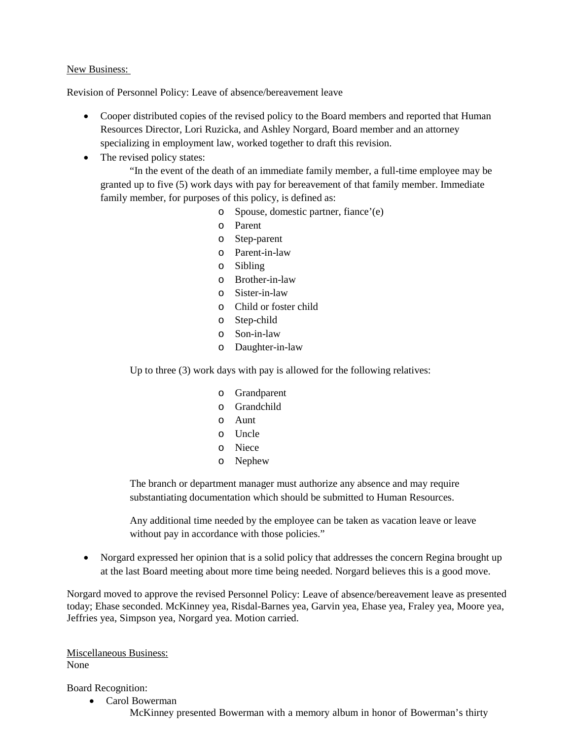### New Business:

Revision of Personnel Policy: Leave of absence/bereavement leave

- Cooper distributed copies of the revised policy to the Board members and reported that Human Resources Director, Lori Ruzicka, and Ashley Norgard, Board member and an attorney specializing in employment law, worked together to draft this revision.
- The revised policy states:

"In the event of the death of an immediate family member, a full-time employee may be granted up to five (5) work days with pay for bereavement of that family member. Immediate family member, for purposes of this policy, is defined as:

- o Spouse, domestic partner, fiance'(e)
- o Parent
- o Step-parent
- o Parent-in-law
- o Sibling
- o Brother-in-law
- o Sister-in-law
- o Child or foster child
- o Step-child
- o Son-in-law
- o Daughter-in-law

Up to three (3) work days with pay is allowed for the following relatives:

- o Grandparent
- o Grandchild
- o Aunt
- o Uncle
- o Niece
- o Nephew

The branch or department manager must authorize any absence and may require substantiating documentation which should be submitted to Human Resources.

Any additional time needed by the employee can be taken as vacation leave or leave without pay in accordance with those policies."

• Norgard expressed her opinion that is a solid policy that addresses the concern Regina brought up at the last Board meeting about more time being needed. Norgard believes this is a good move.

Norgard moved to approve the revised Personnel Policy: Leave of absence/bereavement leave as presented today; Ehase seconded. McKinney yea, Risdal-Barnes yea, Garvin yea, Ehase yea, Fraley yea, Moore yea, Jeffries yea, Simpson yea, Norgard yea. Motion carried.

Miscellaneous Business: None

Board Recognition:

• Carol Bowerman

McKinney presented Bowerman with a memory album in honor of Bowerman's thirty